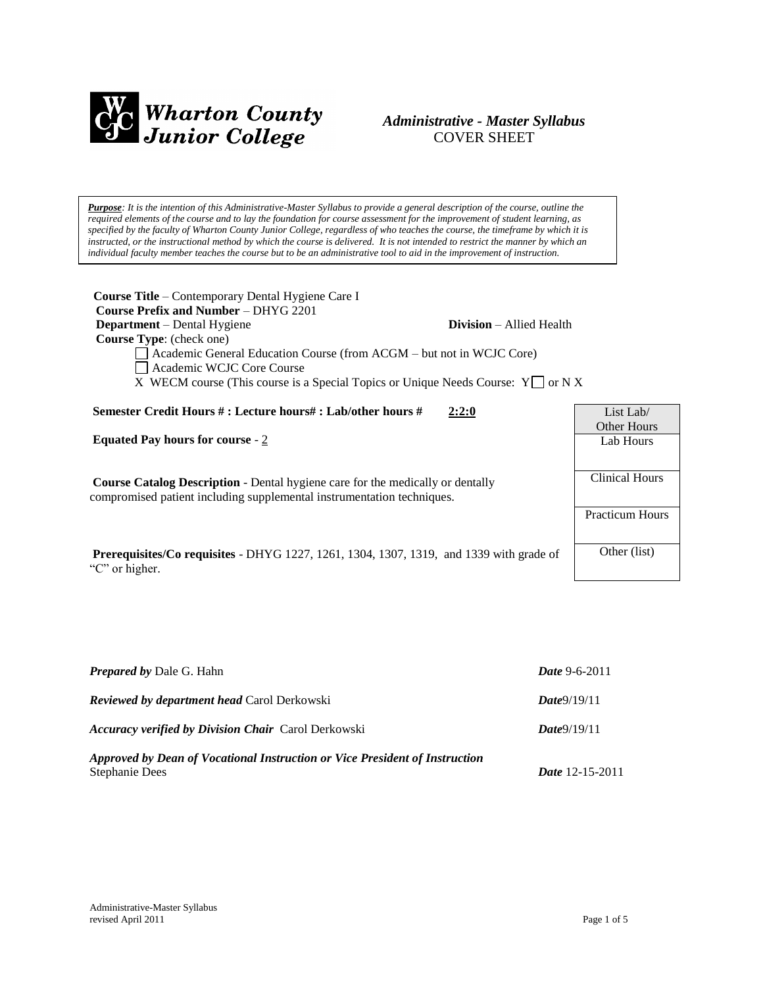

# *Administrative - Master Syllabus*  COVER SHEET

*Purpose: It is the intention of this Administrative-Master Syllabus to provide a general description of the course, outline the required elements of the course and to lay the foundation for course assessment for the improvement of student learning, as specified by the faculty of Wharton County Junior College, regardless of who teaches the course, the timeframe by which it is instructed, or the instructional method by which the course is delivered. It is not intended to restrict the manner by which an individual faculty member teaches the course but to be an administrative tool to aid in the improvement of instruction.*

| <b>Course Title</b> – Contemporary Dental Hygiene Care I<br><b>Course Prefix and Number – DHYG 2201</b><br><b>Department</b> – Dental Hygiene<br><b>Division</b> – Allied Health<br><b>Course Type:</b> (check one)<br>Academic General Education Course (from ACGM – but not in WCJC Core)<br>Academic WCJC Core Course<br>X WECM course (This course is a Special Topics or Unique Needs Course: $Y \cap N X$ |                                 |
|-----------------------------------------------------------------------------------------------------------------------------------------------------------------------------------------------------------------------------------------------------------------------------------------------------------------------------------------------------------------------------------------------------------------|---------------------------------|
| Semester Credit Hours # : Lecture hours# : Lab/other hours #<br>2:2:0                                                                                                                                                                                                                                                                                                                                           | List Lab/<br><b>Other Hours</b> |
| <b>Equated Pay hours for course - 2</b>                                                                                                                                                                                                                                                                                                                                                                         | Lab Hours                       |
| <b>Course Catalog Description</b> - Dental hygiene care for the medically or dentally<br>compromised patient including supplemental instrumentation techniques.                                                                                                                                                                                                                                                 | Clinical Hours                  |
|                                                                                                                                                                                                                                                                                                                                                                                                                 | <b>Practicum Hours</b>          |
| <b>Prerequisites/Co requisites - DHYG</b> 1227, 1261, 1304, 1307, 1319, and 1339 with grade of<br>"C" or higher.                                                                                                                                                                                                                                                                                                | Other (list)                    |

| <b>Prepared by Dale G. Hahn</b>                                                               | <b>Date</b> 9-6-2011         |
|-----------------------------------------------------------------------------------------------|------------------------------|
| <b>Reviewed by department head Carol Derkowski</b>                                            | Date9/19/11                  |
| <b>Accuracy verified by Division Chair Carol Derkowski</b>                                    | Date9/19/11                  |
| Approved by Dean of Vocational Instruction or Vice President of Instruction<br>Stephanie Dees | <i>Date</i> $12 - 15 - 2011$ |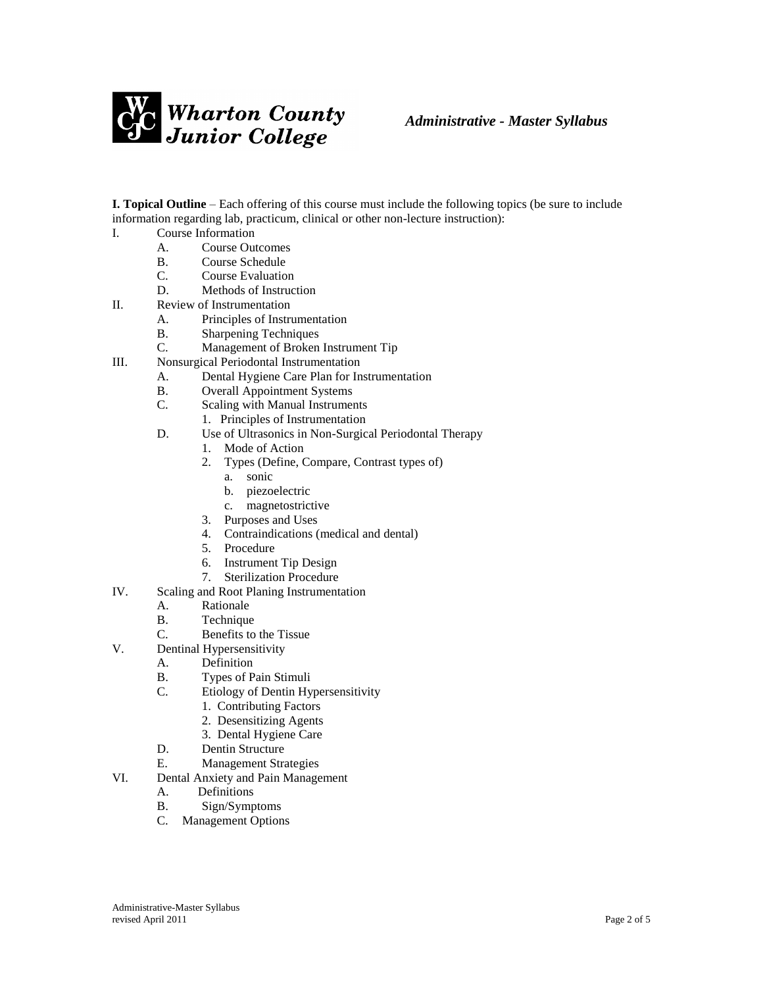

**I. Topical Outline** – Each offering of this course must include the following topics (be sure to include information regarding lab, practicum, clinical or other non-lecture instruction):

- I. Course Information
	- A. Course Outcomes
	- B. Course Schedule
	- C. Course Evaluation
	- D. Methods of Instruction
- II. Review of Instrumentation
	- A. Principles of Instrumentation
	- B. Sharpening Techniques
	- C. Management of Broken Instrument Tip
- III. Nonsurgical Periodontal Instrumentation
	- A. Dental Hygiene Care Plan for Instrumentation
	- B. Overall Appointment Systems
	- C. Scaling with Manual Instruments
		- 1. Principles of Instrumentation
	- D. Use of Ultrasonics in Non-Surgical Periodontal Therapy
		- 1. Mode of Action
			- 2. Types (Define, Compare, Contrast types of)
				- a. sonic
				- b. piezoelectric
				- c. magnetostrictive
			- 3. Purposes and Uses
			- 4. Contraindications (medical and dental)
			- 5. Procedure
			- 6. Instrument Tip Design
		- 7. Sterilization Procedure
- IV. Scaling and Root Planing Instrumentation
	- A. Rationale
	- B. Technique
	- C. Benefits to the Tissue
- V. Dentinal Hypersensitivity
	- A. Definition
	- B. Types of Pain Stimuli
	- C. Etiology of Dentin Hypersensitivity
		- 1. Contributing Factors
		- 2. Desensitizing Agents
		- 3. Dental Hygiene Care
	- D. Dentin Structure
	- E. Management Strategies
- VI. Dental Anxiety and Pain Management
	- A. Definitions
	- B. Sign/Symptoms
	- C. Management Options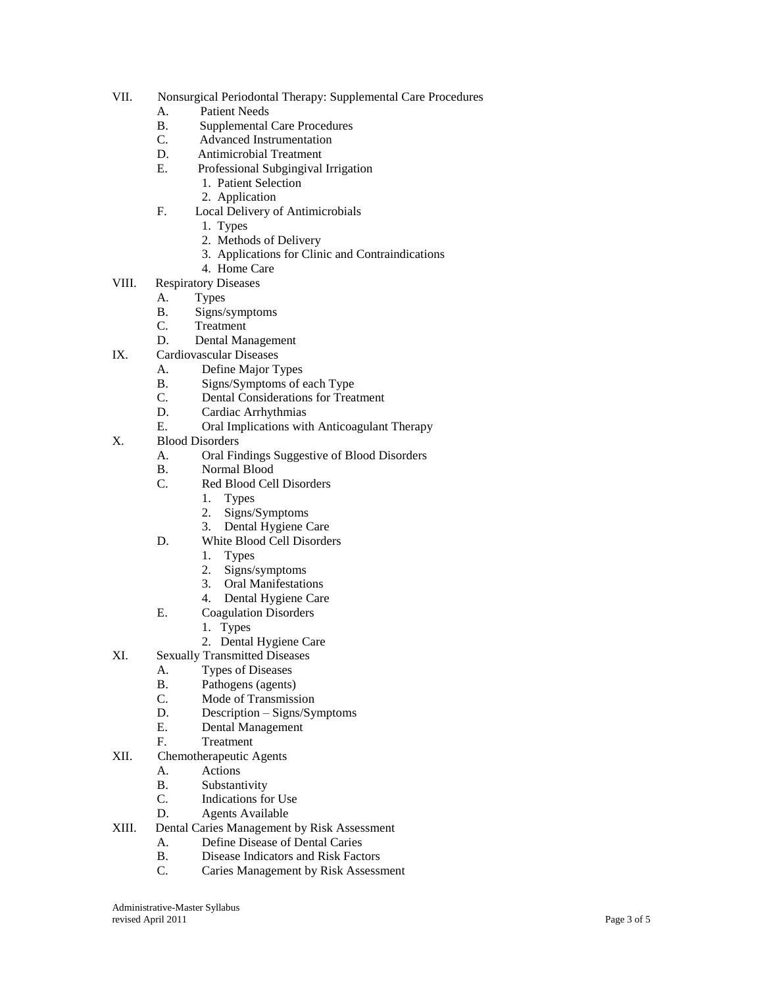- VII. Nonsurgical Periodontal Therapy: Supplemental Care Procedures
	- A. Patient Needs
	- B. Supplemental Care Procedures
	- C. Advanced Instrumentation
	- D. Antimicrobial Treatment
	- E. Professional Subgingival Irrigation
		- 1. Patient Selection
		- 2. Application
	- F. Local Delivery of Antimicrobials
		- 1. Types
		- 2. Methods of Delivery
		- 3. Applications for Clinic and Contraindications
		- 4. Home Care
- VIII. Respiratory Diseases
	- A. Types
	- B. Signs/symptoms
	- C. Treatment
	- D. Dental Management
- IX. Cardiovascular Diseases
	- A. Define Major Types
	- B. Signs/Symptoms of each Type
	- C. Dental Considerations for Treatment
	- D. Cardiac Arrhythmias
	- E. Oral Implications with Anticoagulant Therapy
- X. Blood Disorders
	- A. Oral Findings Suggestive of Blood Disorders
	- B. Normal Blood
	- C. Red Blood Cell Disorders
		- 1. Types
			- 2. Signs/Symptoms
			- 3. Dental Hygiene Care
	- D. White Blood Cell Disorders
		- 1. Types
		- 2. Signs/symptoms
		- 3. Oral Manifestations
		- 4. Dental Hygiene Care
	- E. Coagulation Disorders
		- 1. Types
		- 2. Dental Hygiene Care
- XI. Sexually Transmitted Diseases
	- A. Types of Diseases
	- B. Pathogens (agents)
	- C. Mode of Transmission
	- D. Description Signs/Symptoms
	- E. Dental Management
	- F. Treatment
- XII. Chemotherapeutic Agents
	- A. Actions
	- B. Substantivity
	- C. Indications for Use
	- D. Agents Available
- XIII. Dental Caries Management by Risk Assessment
	- A. Define Disease of Dental Caries
	- B. Disease Indicators and Risk Factors
	- C. Caries Management by Risk Assessment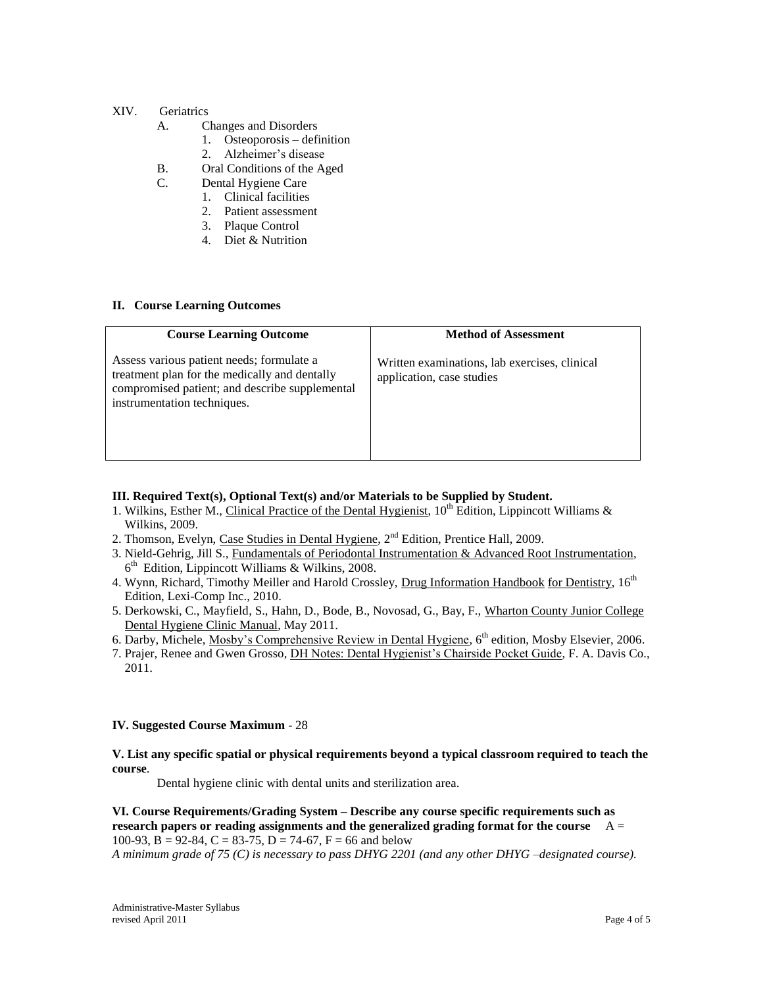# XIV. Geriatrics

- A. Changes and Disorders
	- 1. Osteoporosis definition
		- 2. Alzheimer's disease
- B. Oral Conditions of the Aged
- C. Dental Hygiene Care
	- 1. Clinical facilities
	- 2. Patient assessment
	- 3. Plaque Control
	- 4. Diet & Nutrition

### **II. Course Learning Outcomes**

| <b>Course Learning Outcome</b>                                                                                                                                              | <b>Method of Assessment</b>                                                |
|-----------------------------------------------------------------------------------------------------------------------------------------------------------------------------|----------------------------------------------------------------------------|
| Assess various patient needs; formulate a<br>treatment plan for the medically and dentally<br>compromised patient; and describe supplemental<br>instrumentation techniques. | Written examinations, lab exercises, clinical<br>application, case studies |

## **III. Required Text(s), Optional Text(s) and/or Materials to be Supplied by Student.**

- 1. Wilkins, Esther M., Clinical Practice of the Dental Hygienist,  $10<sup>th</sup>$  Edition, Lippincott Williams & Wilkins, 2009.
- 2. Thomson, Evelyn, Case Studies in Dental Hygiene,  $2<sup>nd</sup>$  Edition, Prentice Hall, 2009.
- 3. Nield-Gehrig, Jill S., Fundamentals of Periodontal Instrumentation & Advanced Root Instrumentation, 6<sup>th</sup> Edition, Lippincott Williams & Wilkins, 2008.
- 4. Wynn, Richard, Timothy Meiller and Harold Crossley, Drug Information Handbook for Dentistry, 16<sup>th</sup> Edition, Lexi-Comp Inc., 2010.
- 5. Derkowski, C., Mayfield, S., Hahn, D., Bode, B., Novosad, G., Bay, F., Wharton County Junior College Dental Hygiene Clinic Manual, May 2011.
- 6. Darby, Michele, Mosby's Comprehensive Review in Dental Hygiene, 6<sup>th</sup> edition, Mosby Elsevier, 2006.
- 7. Prajer, Renee and Gwen Grosso, DH Notes: Dental Hygienist's Chairside Pocket Guide, F. A. Davis Co., 2011.

#### **IV. Suggested Course Maximum** - 28

### **V. List any specific spatial or physical requirements beyond a typical classroom required to teach the course**.

Dental hygiene clinic with dental units and sterilization area.

**VI. Course Requirements/Grading System – Describe any course specific requirements such as research papers or reading assignments and the generalized grading format for the course** A = 100-93, B = 92-84, C = 83-75, D = 74-67, F = 66 and below

*A minimum grade of 75 (C) is necessary to pass DHYG 2201 (and any other DHYG –designated course).*